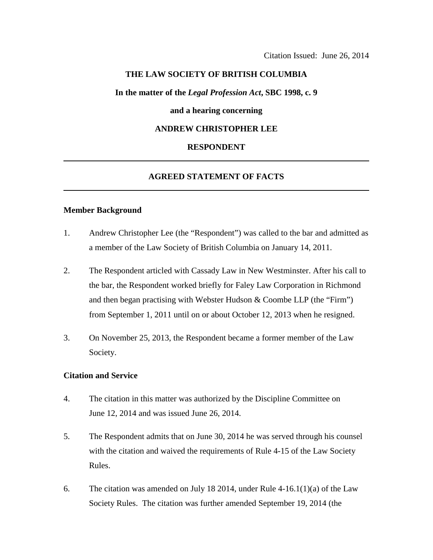## **THE LAW SOCIETY OF BRITISH COLUMBIA**

**In the matter of the** *Legal Profession Act***, SBC 1998, c. 9** 

### **and a hearing concerning**

## **ANDREW CHRISTOPHER LEE**

#### **RESPONDENT**

# **AGREED STATEMENT OF FACTS**

#### **Member Background**

- 1. Andrew Christopher Lee (the "Respondent") was called to the bar and admitted as a member of the Law Society of British Columbia on January 14, 2011.
- 2. The Respondent articled with Cassady Law in New Westminster. After his call to the bar, the Respondent worked briefly for Faley Law Corporation in Richmond and then began practising with Webster Hudson & Coombe LLP (the "Firm") from September 1, 2011 until on or about October 12, 2013 when he resigned.
- 3. On November 25, 2013, the Respondent became a former member of the Law Society.

#### **Citation and Service**

- 4. The citation in this matter was authorized by the Discipline Committee on June 12, 2014 and was issued June 26, 2014.
- 5. The Respondent admits that on June 30, 2014 he was served through his counsel with the citation and waived the requirements of Rule 4-15 of the Law Society Rules.
- 6. The citation was amended on July 18 2014, under Rule 4-16.1(1)(a) of the Law Society Rules. The citation was further amended September 19, 2014 (the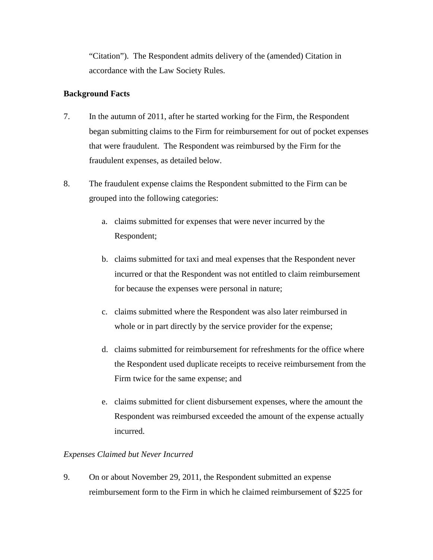"Citation"). The Respondent admits delivery of the (amended) Citation in accordance with the Law Society Rules.

# **Background Facts**

- 7. In the autumn of 2011, after he started working for the Firm, the Respondent began submitting claims to the Firm for reimbursement for out of pocket expenses that were fraudulent. The Respondent was reimbursed by the Firm for the fraudulent expenses, as detailed below.
- 8. The fraudulent expense claims the Respondent submitted to the Firm can be grouped into the following categories:
	- a. claims submitted for expenses that were never incurred by the Respondent;
	- b. claims submitted for taxi and meal expenses that the Respondent never incurred or that the Respondent was not entitled to claim reimbursement for because the expenses were personal in nature;
	- c. claims submitted where the Respondent was also later reimbursed in whole or in part directly by the service provider for the expense;
	- d. claims submitted for reimbursement for refreshments for the office where the Respondent used duplicate receipts to receive reimbursement from the Firm twice for the same expense; and
	- e. claims submitted for client disbursement expenses, where the amount the Respondent was reimbursed exceeded the amount of the expense actually incurred.

# *Expenses Claimed but Never Incurred*

9. On or about November 29, 2011, the Respondent submitted an expense reimbursement form to the Firm in which he claimed reimbursement of \$225 for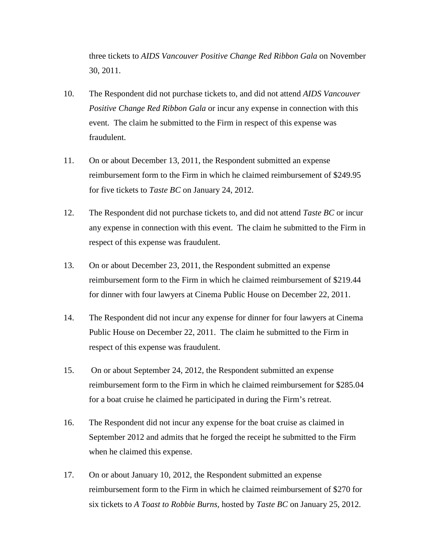three tickets to *AIDS Vancouver Positive Change Red Ribbon Gala* on November 30, 2011.

- 10. The Respondent did not purchase tickets to, and did not attend *AIDS Vancouver Positive Change Red Ribbon Gala* or incur any expense in connection with this event. The claim he submitted to the Firm in respect of this expense was fraudulent.
- 11. On or about December 13, 2011, the Respondent submitted an expense reimbursement form to the Firm in which he claimed reimbursement of \$249.95 for five tickets to *Taste BC* on January 24, 2012.
- 12. The Respondent did not purchase tickets to, and did not attend *Taste BC* or incur any expense in connection with this event. The claim he submitted to the Firm in respect of this expense was fraudulent.
- 13. On or about December 23, 2011, the Respondent submitted an expense reimbursement form to the Firm in which he claimed reimbursement of \$219.44 for dinner with four lawyers at Cinema Public House on December 22, 2011.
- 14. The Respondent did not incur any expense for dinner for four lawyers at Cinema Public House on December 22, 2011. The claim he submitted to the Firm in respect of this expense was fraudulent.
- 15. On or about September 24, 2012, the Respondent submitted an expense reimbursement form to the Firm in which he claimed reimbursement for \$285.04 for a boat cruise he claimed he participated in during the Firm's retreat.
- 16. The Respondent did not incur any expense for the boat cruise as claimed in September 2012 and admits that he forged the receipt he submitted to the Firm when he claimed this expense.
- 17. On or about January 10, 2012, the Respondent submitted an expense reimbursement form to the Firm in which he claimed reimbursement of \$270 for six tickets to *A Toast to Robbie Burns,* hosted by *Taste BC* on January 25, 2012.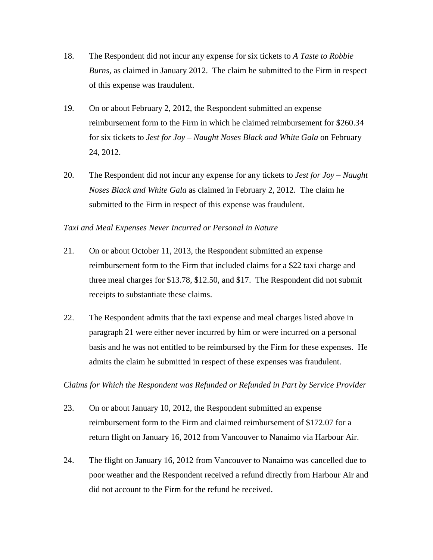- 18. The Respondent did not incur any expense for six tickets to *A Taste to Robbie Burns*, as claimed in January 2012. The claim he submitted to the Firm in respect of this expense was fraudulent.
- 19. On or about February 2, 2012, the Respondent submitted an expense reimbursement form to the Firm in which he claimed reimbursement for \$260.34 for six tickets to *Jest for Joy – Naught Noses Black and White Gala* on February 24, 2012.
- 20. The Respondent did not incur any expense for any tickets to *Jest for Joy Naught Noses Black and White Gala* as claimed in February 2, 2012. The claim he submitted to the Firm in respect of this expense was fraudulent.

## *Taxi and Meal Expenses Never Incurred or Personal in Nature*

- 21. On or about October 11, 2013, the Respondent submitted an expense reimbursement form to the Firm that included claims for a \$22 taxi charge and three meal charges for \$13.78, \$12.50, and \$17. The Respondent did not submit receipts to substantiate these claims.
- 22. The Respondent admits that the taxi expense and meal charges listed above in paragraph 21 were either never incurred by him or were incurred on a personal basis and he was not entitled to be reimbursed by the Firm for these expenses. He admits the claim he submitted in respect of these expenses was fraudulent.

*Claims for Which the Respondent was Refunded or Refunded in Part by Service Provider*

- 23. On or about January 10, 2012, the Respondent submitted an expense reimbursement form to the Firm and claimed reimbursement of \$172.07 for a return flight on January 16, 2012 from Vancouver to Nanaimo via Harbour Air.
- 24. The flight on January 16, 2012 from Vancouver to Nanaimo was cancelled due to poor weather and the Respondent received a refund directly from Harbour Air and did not account to the Firm for the refund he received.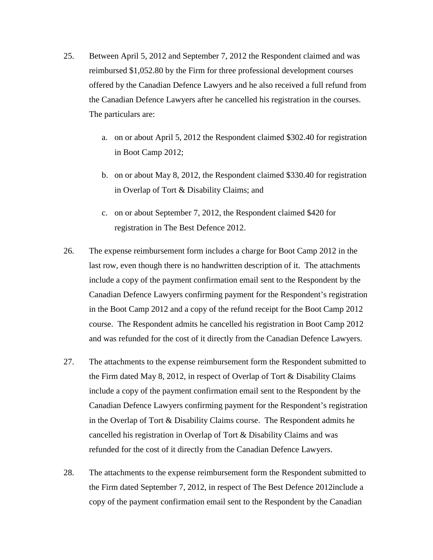- 25. Between April 5, 2012 and September 7, 2012 the Respondent claimed and was reimbursed \$1,052.80 by the Firm for three professional development courses offered by the Canadian Defence Lawyers and he also received a full refund from the Canadian Defence Lawyers after he cancelled his registration in the courses. The particulars are:
	- a. on or about April 5, 2012 the Respondent claimed \$302.40 for registration in Boot Camp 2012;
	- b. on or about May 8, 2012, the Respondent claimed \$330.40 for registration in Overlap of Tort & Disability Claims; and
	- c. on or about September 7, 2012, the Respondent claimed \$420 for registration in The Best Defence 2012.
- 26. The expense reimbursement form includes a charge for Boot Camp 2012 in the last row, even though there is no handwritten description of it. The attachments include a copy of the payment confirmation email sent to the Respondent by the Canadian Defence Lawyers confirming payment for the Respondent's registration in the Boot Camp 2012 and a copy of the refund receipt for the Boot Camp 2012 course. The Respondent admits he cancelled his registration in Boot Camp 2012 and was refunded for the cost of it directly from the Canadian Defence Lawyers.
- 27. The attachments to the expense reimbursement form the Respondent submitted to the Firm dated May 8, 2012, in respect of Overlap of Tort & Disability Claims include a copy of the payment confirmation email sent to the Respondent by the Canadian Defence Lawyers confirming payment for the Respondent's registration in the Overlap of Tort & Disability Claims course. The Respondent admits he cancelled his registration in Overlap of Tort & Disability Claims and was refunded for the cost of it directly from the Canadian Defence Lawyers.
- 28. The attachments to the expense reimbursement form the Respondent submitted to the Firm dated September 7, 2012, in respect of The Best Defence 2012include a copy of the payment confirmation email sent to the Respondent by the Canadian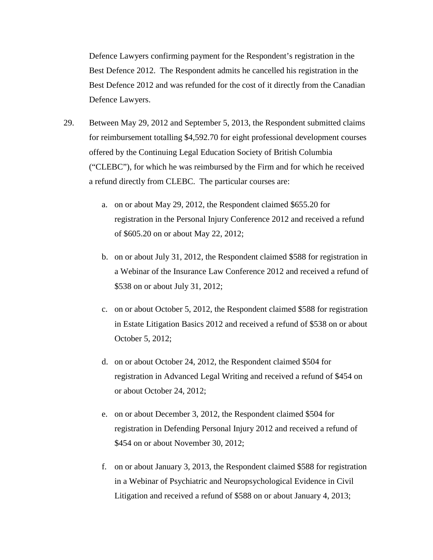Defence Lawyers confirming payment for the Respondent's registration in the Best Defence 2012. The Respondent admits he cancelled his registration in the Best Defence 2012 and was refunded for the cost of it directly from the Canadian Defence Lawyers.

- 29. Between May 29, 2012 and September 5, 2013, the Respondent submitted claims for reimbursement totalling \$4,592.70 for eight professional development courses offered by the Continuing Legal Education Society of British Columbia ("CLEBC"), for which he was reimbursed by the Firm and for which he received a refund directly from CLEBC. The particular courses are:
	- a. on or about May 29, 2012, the Respondent claimed \$655.20 for registration in the Personal Injury Conference 2012 and received a refund of \$605.20 on or about May 22, 2012;
	- b. on or about July 31, 2012, the Respondent claimed \$588 for registration in a Webinar of the Insurance Law Conference 2012 and received a refund of \$538 on or about July 31, 2012;
	- c. on or about October 5, 2012, the Respondent claimed \$588 for registration in Estate Litigation Basics 2012 and received a refund of \$538 on or about October 5, 2012;
	- d. on or about October 24, 2012, the Respondent claimed \$504 for registration in Advanced Legal Writing and received a refund of \$454 on or about October 24, 2012;
	- e. on or about December 3, 2012, the Respondent claimed \$504 for registration in Defending Personal Injury 2012 and received a refund of \$454 on or about November 30, 2012;
	- f. on or about January 3, 2013, the Respondent claimed \$588 for registration in a Webinar of Psychiatric and Neuropsychological Evidence in Civil Litigation and received a refund of \$588 on or about January 4, 2013;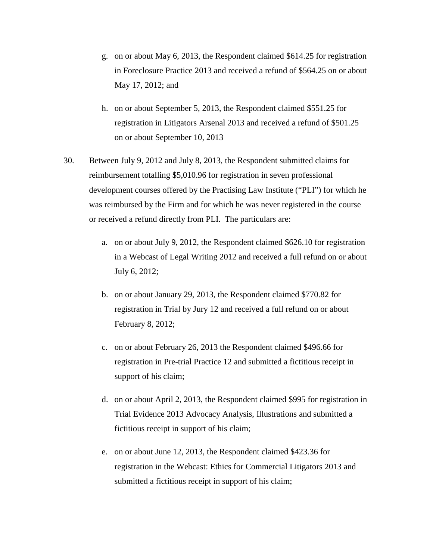- g. on or about May 6, 2013, the Respondent claimed \$614.25 for registration in Foreclosure Practice 2013 and received a refund of \$564.25 on or about May 17, 2012; and
- h. on or about September 5, 2013, the Respondent claimed \$551.25 for registration in Litigators Arsenal 2013 and received a refund of \$501.25 on or about September 10, 2013
- 30. Between July 9, 2012 and July 8, 2013, the Respondent submitted claims for reimbursement totalling \$5,010.96 for registration in seven professional development courses offered by the Practising Law Institute ("PLI") for which he was reimbursed by the Firm and for which he was never registered in the course or received a refund directly from PLI. The particulars are:
	- a. on or about July 9, 2012, the Respondent claimed \$626.10 for registration in a Webcast of Legal Writing 2012 and received a full refund on or about July 6, 2012;
	- b. on or about January 29, 2013, the Respondent claimed \$770.82 for registration in Trial by Jury 12 and received a full refund on or about February 8, 2012;
	- c. on or about February 26, 2013 the Respondent claimed \$496.66 for registration in Pre-trial Practice 12 and submitted a fictitious receipt in support of his claim;
	- d. on or about April 2, 2013, the Respondent claimed \$995 for registration in Trial Evidence 2013 Advocacy Analysis, Illustrations and submitted a fictitious receipt in support of his claim;
	- e. on or about June 12, 2013, the Respondent claimed \$423.36 for registration in the Webcast: Ethics for Commercial Litigators 2013 and submitted a fictitious receipt in support of his claim;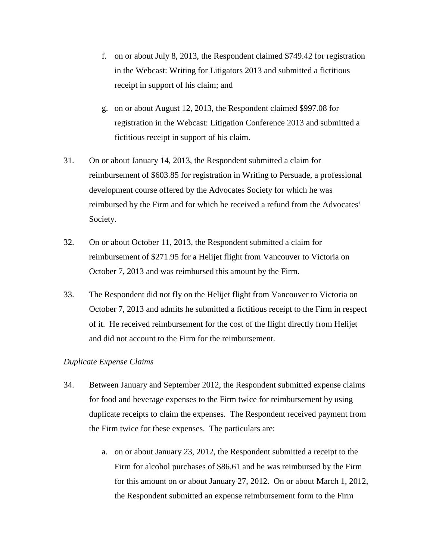- f. on or about July 8, 2013, the Respondent claimed \$749.42 for registration in the Webcast: Writing for Litigators 2013 and submitted a fictitious receipt in support of his claim; and
- g. on or about August 12, 2013, the Respondent claimed \$997.08 for registration in the Webcast: Litigation Conference 2013 and submitted a fictitious receipt in support of his claim.
- 31. On or about January 14, 2013, the Respondent submitted a claim for reimbursement of \$603.85 for registration in Writing to Persuade, a professional development course offered by the Advocates Society for which he was reimbursed by the Firm and for which he received a refund from the Advocates' Society.
- 32. On or about October 11, 2013, the Respondent submitted a claim for reimbursement of \$271.95 for a Helijet flight from Vancouver to Victoria on October 7, 2013 and was reimbursed this amount by the Firm.
- 33. The Respondent did not fly on the Helijet flight from Vancouver to Victoria on October 7, 2013 and admits he submitted a fictitious receipt to the Firm in respect of it. He received reimbursement for the cost of the flight directly from Helijet and did not account to the Firm for the reimbursement.

# *Duplicate Expense Claims*

- 34. Between January and September 2012, the Respondent submitted expense claims for food and beverage expenses to the Firm twice for reimbursement by using duplicate receipts to claim the expenses. The Respondent received payment from the Firm twice for these expenses. The particulars are:
	- a. on or about January 23, 2012, the Respondent submitted a receipt to the Firm for alcohol purchases of \$86.61 and he was reimbursed by the Firm for this amount on or about January 27, 2012. On or about March 1, 2012, the Respondent submitted an expense reimbursement form to the Firm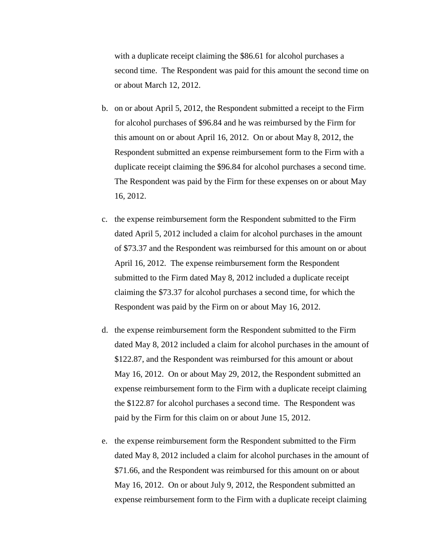with a duplicate receipt claiming the \$86.61 for alcohol purchases a second time. The Respondent was paid for this amount the second time on or about March 12, 2012.

- b. on or about April 5, 2012, the Respondent submitted a receipt to the Firm for alcohol purchases of \$96.84 and he was reimbursed by the Firm for this amount on or about April 16, 2012. On or about May 8, 2012, the Respondent submitted an expense reimbursement form to the Firm with a duplicate receipt claiming the \$96.84 for alcohol purchases a second time. The Respondent was paid by the Firm for these expenses on or about May 16, 2012.
- c. the expense reimbursement form the Respondent submitted to the Firm dated April 5, 2012 included a claim for alcohol purchases in the amount of \$73.37 and the Respondent was reimbursed for this amount on or about April 16, 2012. The expense reimbursement form the Respondent submitted to the Firm dated May 8, 2012 included a duplicate receipt claiming the \$73.37 for alcohol purchases a second time, for which the Respondent was paid by the Firm on or about May 16, 2012.
- d. the expense reimbursement form the Respondent submitted to the Firm dated May 8, 2012 included a claim for alcohol purchases in the amount of \$122.87, and the Respondent was reimbursed for this amount or about May 16, 2012. On or about May 29, 2012, the Respondent submitted an expense reimbursement form to the Firm with a duplicate receipt claiming the \$122.87 for alcohol purchases a second time. The Respondent was paid by the Firm for this claim on or about June 15, 2012.
- e. the expense reimbursement form the Respondent submitted to the Firm dated May 8, 2012 included a claim for alcohol purchases in the amount of \$71.66, and the Respondent was reimbursed for this amount on or about May 16, 2012. On or about July 9, 2012, the Respondent submitted an expense reimbursement form to the Firm with a duplicate receipt claiming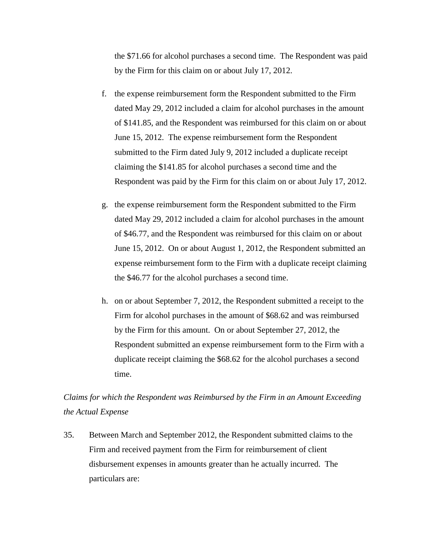the \$71.66 for alcohol purchases a second time. The Respondent was paid by the Firm for this claim on or about July 17, 2012.

- f. the expense reimbursement form the Respondent submitted to the Firm dated May 29, 2012 included a claim for alcohol purchases in the amount of \$141.85, and the Respondent was reimbursed for this claim on or about June 15, 2012. The expense reimbursement form the Respondent submitted to the Firm dated July 9, 2012 included a duplicate receipt claiming the \$141.85 for alcohol purchases a second time and the Respondent was paid by the Firm for this claim on or about July 17, 2012.
- g. the expense reimbursement form the Respondent submitted to the Firm dated May 29, 2012 included a claim for alcohol purchases in the amount of \$46.77, and the Respondent was reimbursed for this claim on or about June 15, 2012. On or about August 1, 2012, the Respondent submitted an expense reimbursement form to the Firm with a duplicate receipt claiming the \$46.77 for the alcohol purchases a second time.
- h. on or about September 7, 2012, the Respondent submitted a receipt to the Firm for alcohol purchases in the amount of \$68.62 and was reimbursed by the Firm for this amount. On or about September 27, 2012, the Respondent submitted an expense reimbursement form to the Firm with a duplicate receipt claiming the \$68.62 for the alcohol purchases a second time.

*Claims for which the Respondent was Reimbursed by the Firm in an Amount Exceeding the Actual Expense*

35. Between March and September 2012, the Respondent submitted claims to the Firm and received payment from the Firm for reimbursement of client disbursement expenses in amounts greater than he actually incurred. The particulars are: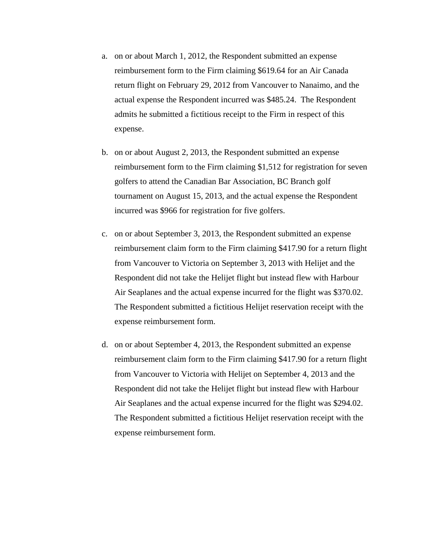- a. on or about March 1, 2012, the Respondent submitted an expense reimbursement form to the Firm claiming \$619.64 for an Air Canada return flight on February 29, 2012 from Vancouver to Nanaimo, and the actual expense the Respondent incurred was \$485.24. The Respondent admits he submitted a fictitious receipt to the Firm in respect of this expense.
- b. on or about August 2, 2013, the Respondent submitted an expense reimbursement form to the Firm claiming \$1,512 for registration for seven golfers to attend the Canadian Bar Association, BC Branch golf tournament on August 15, 2013, and the actual expense the Respondent incurred was \$966 for registration for five golfers.
- c. on or about September 3, 2013, the Respondent submitted an expense reimbursement claim form to the Firm claiming \$417.90 for a return flight from Vancouver to Victoria on September 3, 2013 with Helijet and the Respondent did not take the Helijet flight but instead flew with Harbour Air Seaplanes and the actual expense incurred for the flight was \$370.02. The Respondent submitted a fictitious Helijet reservation receipt with the expense reimbursement form.
- d. on or about September 4, 2013, the Respondent submitted an expense reimbursement claim form to the Firm claiming \$417.90 for a return flight from Vancouver to Victoria with Helijet on September 4, 2013 and the Respondent did not take the Helijet flight but instead flew with Harbour Air Seaplanes and the actual expense incurred for the flight was \$294.02. The Respondent submitted a fictitious Helijet reservation receipt with the expense reimbursement form.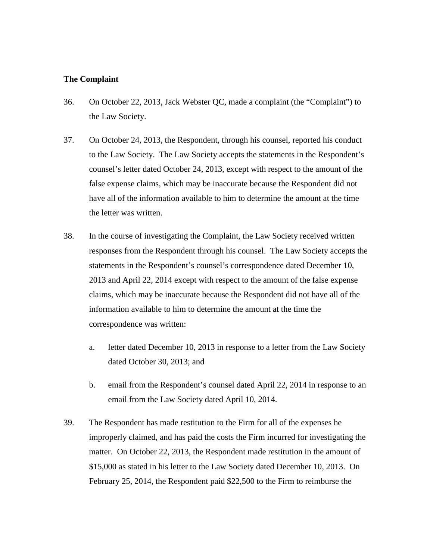### **The Complaint**

- 36. On October 22, 2013, Jack Webster QC, made a complaint (the "Complaint") to the Law Society.
- 37. On October 24, 2013, the Respondent, through his counsel, reported his conduct to the Law Society. The Law Society accepts the statements in the Respondent's counsel's letter dated October 24, 2013, except with respect to the amount of the false expense claims, which may be inaccurate because the Respondent did not have all of the information available to him to determine the amount at the time the letter was written.
- 38. In the course of investigating the Complaint, the Law Society received written responses from the Respondent through his counsel. The Law Society accepts the statements in the Respondent's counsel's correspondence dated December 10, 2013 and April 22, 2014 except with respect to the amount of the false expense claims, which may be inaccurate because the Respondent did not have all of the information available to him to determine the amount at the time the correspondence was written:
	- a. letter dated December 10, 2013 in response to a letter from the Law Society dated October 30, 2013; and
	- b. email from the Respondent's counsel dated April 22, 2014 in response to an email from the Law Society dated April 10, 2014.
- 39. The Respondent has made restitution to the Firm for all of the expenses he improperly claimed, and has paid the costs the Firm incurred for investigating the matter. On October 22, 2013, the Respondent made restitution in the amount of \$15,000 as stated in his letter to the Law Society dated December 10, 2013. On February 25, 2014, the Respondent paid \$22,500 to the Firm to reimburse the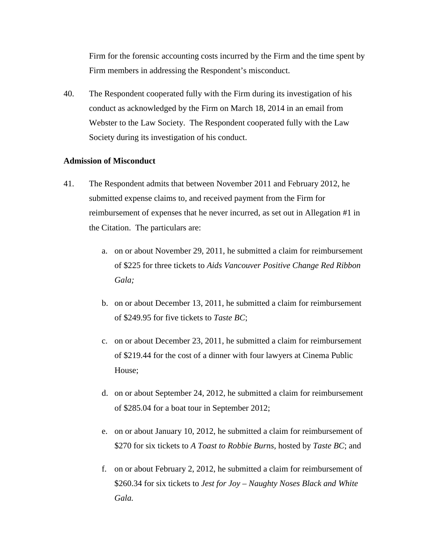Firm for the forensic accounting costs incurred by the Firm and the time spent by Firm members in addressing the Respondent's misconduct.

40. The Respondent cooperated fully with the Firm during its investigation of his conduct as acknowledged by the Firm on March 18, 2014 in an email from Webster to the Law Society. The Respondent cooperated fully with the Law Society during its investigation of his conduct.

### **Admission of Misconduct**

- 41. The Respondent admits that between November 2011 and February 2012, he submitted expense claims to, and received payment from the Firm for reimbursement of expenses that he never incurred, as set out in Allegation #1 in the Citation. The particulars are:
	- a. on or about November 29, 2011, he submitted a claim for reimbursement of \$225 for three tickets to *Aids Vancouver Positive Change Red Ribbon Gala;*
	- b. on or about December 13, 2011, he submitted a claim for reimbursement of \$249.95 for five tickets to *Taste BC*;
	- c. on or about December 23, 2011, he submitted a claim for reimbursement of \$219.44 for the cost of a dinner with four lawyers at Cinema Public House;
	- d. on or about September 24, 2012, he submitted a claim for reimbursement of \$285.04 for a boat tour in September 2012;
	- e. on or about January 10, 2012, he submitted a claim for reimbursement of \$270 for six tickets to *A Toast to Robbie Burns,* hosted by *Taste BC*; and
	- f. on or about February 2, 2012, he submitted a claim for reimbursement of \$260.34 for six tickets to *Jest for Joy – Naughty Noses Black and White Gala.*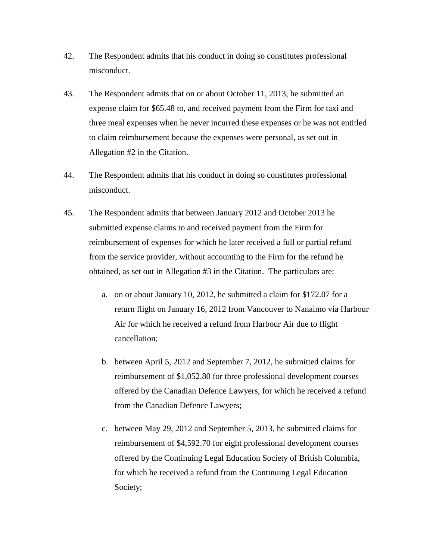- 42. The Respondent admits that his conduct in doing so constitutes professional misconduct.
- 43. The Respondent admits that on or about October 11, 2013, he submitted an expense claim for \$65.48 to, and received payment from the Firm for taxi and three meal expenses when he never incurred these expenses or he was not entitled to claim reimbursement because the expenses were personal, as set out in Allegation #2 in the Citation.
- 44. The Respondent admits that his conduct in doing so constitutes professional misconduct.
- 45. The Respondent admits that between January 2012 and October 2013 he submitted expense claims to and received payment from the Firm for reimbursement of expenses for which he later received a full or partial refund from the service provider, without accounting to the Firm for the refund he obtained, as set out in Allegation #3 in the Citation. The particulars are:
	- a. on or about January 10, 2012, he submitted a claim for \$172.07 for a return flight on January 16, 2012 from Vancouver to Nanaimo via Harbour Air for which he received a refund from Harbour Air due to flight cancellation;
	- b. between April 5, 2012 and September 7, 2012, he submitted claims for reimbursement of \$1,052.80 for three professional development courses offered by the Canadian Defence Lawyers, for which he received a refund from the Canadian Defence Lawyers;
	- c. between May 29, 2012 and September 5, 2013, he submitted claims for reimbursement of \$4,592.70 for eight professional development courses offered by the Continuing Legal Education Society of British Columbia, for which he received a refund from the Continuing Legal Education Society;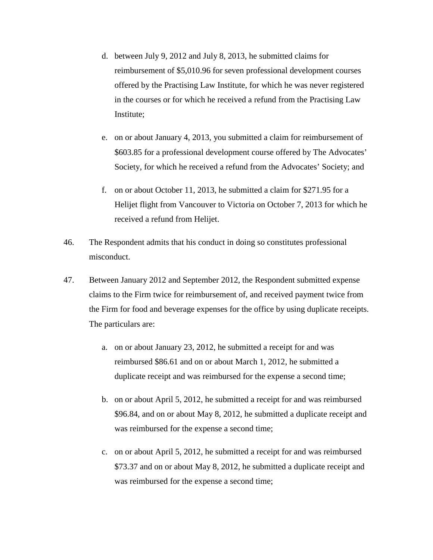- d. between July 9, 2012 and July 8, 2013, he submitted claims for reimbursement of \$5,010.96 for seven professional development courses offered by the Practising Law Institute, for which he was never registered in the courses or for which he received a refund from the Practising Law Institute;
- e. on or about January 4, 2013, you submitted a claim for reimbursement of \$603.85 for a professional development course offered by The Advocates' Society, for which he received a refund from the Advocates' Society; and
- f. on or about October 11, 2013, he submitted a claim for \$271.95 for a Helijet flight from Vancouver to Victoria on October 7, 2013 for which he received a refund from Helijet.
- 46. The Respondent admits that his conduct in doing so constitutes professional misconduct.
- 47. Between January 2012 and September 2012, the Respondent submitted expense claims to the Firm twice for reimbursement of, and received payment twice from the Firm for food and beverage expenses for the office by using duplicate receipts. The particulars are:
	- a. on or about January 23, 2012, he submitted a receipt for and was reimbursed \$86.61 and on or about March 1, 2012, he submitted a duplicate receipt and was reimbursed for the expense a second time;
	- b. on or about April 5, 2012, he submitted a receipt for and was reimbursed \$96.84, and on or about May 8, 2012, he submitted a duplicate receipt and was reimbursed for the expense a second time;
	- c. on or about April 5, 2012, he submitted a receipt for and was reimbursed \$73.37 and on or about May 8, 2012, he submitted a duplicate receipt and was reimbursed for the expense a second time;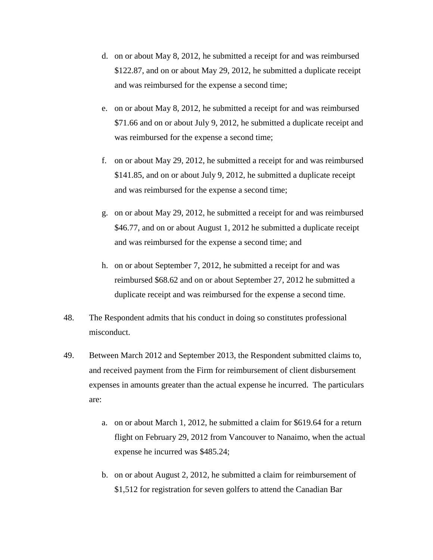- d. on or about May 8, 2012, he submitted a receipt for and was reimbursed \$122.87, and on or about May 29, 2012, he submitted a duplicate receipt and was reimbursed for the expense a second time;
- e. on or about May 8, 2012, he submitted a receipt for and was reimbursed \$71.66 and on or about July 9, 2012, he submitted a duplicate receipt and was reimbursed for the expense a second time;
- f. on or about May 29, 2012, he submitted a receipt for and was reimbursed \$141.85, and on or about July 9, 2012, he submitted a duplicate receipt and was reimbursed for the expense a second time;
- g. on or about May 29, 2012, he submitted a receipt for and was reimbursed \$46.77, and on or about August 1, 2012 he submitted a duplicate receipt and was reimbursed for the expense a second time; and
- h. on or about September 7, 2012, he submitted a receipt for and was reimbursed \$68.62 and on or about September 27, 2012 he submitted a duplicate receipt and was reimbursed for the expense a second time.
- 48. The Respondent admits that his conduct in doing so constitutes professional misconduct.
- 49. Between March 2012 and September 2013, the Respondent submitted claims to, and received payment from the Firm for reimbursement of client disbursement expenses in amounts greater than the actual expense he incurred. The particulars are:
	- a. on or about March 1, 2012, he submitted a claim for \$619.64 for a return flight on February 29, 2012 from Vancouver to Nanaimo, when the actual expense he incurred was \$485.24;
	- b. on or about August 2, 2012, he submitted a claim for reimbursement of \$1,512 for registration for seven golfers to attend the Canadian Bar